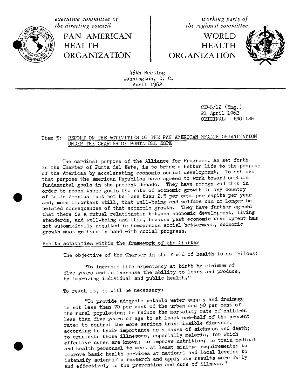

PAN AMERICAN WORLD WORLD HEALTH **HEALTH** 

**executive committee o/ u**'**orking party o/**

ORGANIZATION ORGANIZATION



46th Meeting Washington, D. C. April 1962

> CE46**/**12 (Eng.) 21 April 1962 ORIGINAL: ENGLISH

# Item 5: REPORT ON THE ACTIVITIES OF THE PAN AMERICAN HEALTH ORGANIZATION UNDER THE CHARTER OF PUNTA DEL ESTE

The cardinal purpose of the Alliance for Progress, as set forth in the Charter of Punta del Este, is to bring a better life to the peoples of the Americas by accelerating economic social development. To achieve that purpose the American Republics have agreed to work toward certain fundamental goals in the present decade. They have recognized that in order to reach those goals the rate of economic growth in any country of Latin America must not be less than 2.5 per cent per capita per year and, more important still, that well-being and welfare can no longer be belated consequences of that economic growth. They have further agreed that there is a mutual relationship between economic development, living standards, and well-being and that, because past economic development has not automatically resulted in homogenous social betterment, economic growth must go hand in hand with social progress.

# Health activities within the framework of the Charter

The objective of the Charter in the field of health is as follows:

"To increase life expectancy at birth by minimum of five years and to increase the ability to learn and produce, by improving individual and public health."

To reach it, it will be necessary:

"To provide adequate potable water supply and drainage to not less than 70 per cent of the urban and 50 per cent of the rural population; to reduce the mortality rate of children less than five years of age to at least one-half of the present rate; to control the more serious transmissible diseases, according to their importance as a cause of sickness and death; to eradicate those illnesses, especially malaria, for which effective cures are known; to improve nutrition; to train medical and health personnel to meet at least minimum requirements; to improve basic health services at national and local levels; to intensify scientific research and apply its results more fully and effectively to the prevention and cure of illness."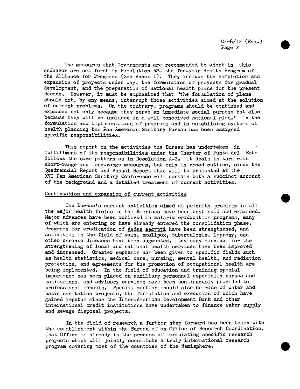The measures that Governments are recommended to adopt in this endeavor are set forth in Resolution A2- the Ten-year Health Program of the Alliance for Progress (See Annex I). They include the completion and expansion of proyects under way, the formulation of proyects for gradual development, and the preparation of national health plans for the present decade. However, it must be emphasized that "the formulation of plans should not, by any means, interrupt those activities aimed at the solution of current problems. On the contrary, programs should be continued and expanded not only because they serve an immediate social purpose but also because they will be included in a well conceived national plan." In the formulation and implementation of programs and in establising systems of health planning the Pan American Sanitary Bureau has been assigned specific responsibilities.

This report on the activities the Bureau has undertaken in fulfillment of its responsibilities under the Charter of Punta del Este follows the same pattern as in Resolution A-2. It deals in turn with short-range and long-range measures, but only in broad outline, since the Quadrennial Report and Annual Report that will be presented at the XVI Pan American Sanitary Conference will contain both a succinct account of the background and a detailed treatment of current activities.

# Continuation and expansion of current activities

The Bureau's current activities aimed at priority problems in all the major health fields in the Americas have been continued and expanded. Major advances have been achieved in malaria eradication programs, many of which are entering or have already entered the consolidation phase. Programs for eradication of Aedes aegypti have been strengthened, and activities in the field of yaws, smallpox, tuberculosis, leprosy, and other chronic diseases have been augmented. Advisory services for the strengthening of local and national health services have been improved and increased. Greater emphasis has been given to specific fields such as health statistics, medical care, nursing, mental health, and radiation protection, and agreements for the promotion of occupational health are being implemented. In the field of education and training special importance has been placed on auxiliary personnel especially nurses and sanitarians, and advisory services have been continuously provided to professional schools. Special mention should also be made of water and basic sanitation projects, the formulation and execution of which have gained impetus since the Inter-American Development Bank and other international credit institutions have undertaken to finance water supply and sewage disposal projects.

In the field of research a further step forward has been taken with the establishment within the Bureau of an Office of Research Coordination. That Office is already in the process of formulating specific research proyects which will jointly constitute a truly international research program covering most of the countries of the Hemisphere.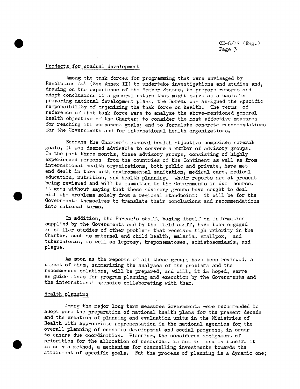CE46**/**12 (Eng.) Page 3

## Projects for gradual development

Among the task forces for programming that were envisaged by Resolution A-4 (See Annex II) to undertake investigations and studies and, drawing on the experience of the Member States, to prepare reports and adopt conclusions of a general nature that might serve as a basis in preparing national development plans, the Bureau was assigned the specific responsibility of organizing the task force on health. The terms of reference of that task force were to analyze the above-mentioned general health objective of the Charter; to consider the most effective measures for reaching its component goals; and to formulate concrete recommendations for the Governments and for international health organizations.

Because the Charter's general health objective comprises several goals, it was deemed advisable to convene a number of advisory groups. In the past three months, these advisory groups, consisting of highly experienced persons from the countries of the Continent as well as from international health organizations, both public and private, have met and dealt in turn with environmental sanitation, medical care, medical education, nutrition, and health planning. Their reports are at present being reviewed and will be submitted to the Governments in due course. It goes without saying that these advisory groups have sought to deal with the problems solely from a regional standpoint: it will be for the Governments themselves to translate their conclusions and recommendations into national terms.

In addition, the Bureau's staff, basing itself on information supplied by the Governments and by the field staff, have been engaged in similar studies of other problems that received high priority in the Charter, such as maternal and child health, malaria, smallpox, and tuberculosis, as well as leprosy, treponematoses, schistosomiasis, and plague.

As soon as the reports of all these groups have been reviewed, a digest of them, summarizing the analyses of the problems and the recommended solutions, will be prepared, and will, it is hoped, serve as guide lines for program planning and execution by the Governments and the international agencies collaborating with them.

#### Health planning

Among the major long term measures Governments were recommended to adopt were the preparation of national health plans for the present decade and the creation of planning and evaluation units in the Ministries of Health with appropriate representation in the national agencies for the overall planning of economic development and social progress, in order to ensure due coordination. Planning, the considered assignment of priorities for the allocation of resources, is not an end in itself; it is only a method, a mechanism for channelling investments towards the attainment of specific goals. But the process of planning is a dynamic one;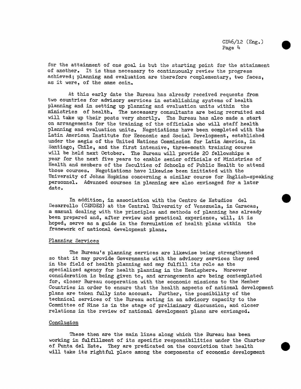CE46**/**12 (Eng.) Page 4

for the attainment of one goal is but the starting point for the attainment of another. It is thus necessary to continuously review the progress achieved; planning and evaluation are therefore complementary, two faces, as it were, of the same coin.

At this early date the Bureau has already received requests from two countries for advisory services in establishing systems of health planning and in setting up planning and evaluation units within the ministries of health. The necessary consultants are being recruited and will take up their posts very shortly. The Bureau has also made a start on arrangements for the training of the officials who will staff health planning and evaluation units. Negotiations have been completed with the Latin American Institute for Economic and Social Development, established under the aegis of the United Nations Commission for Latin America, in Santiago, Chile, and the first intensive, three-month training course will be held next October. The Bureau will provide 20 fellowships a year for the next five years to enable senior officials of Ministries of Health and members of the faculties of Schools of Public Health to attend those courses. Negotiations have likewise been initiated with the University of Johns Hopkins concerning a similar course for English-speaking personnel. Advanced courses in planning are also envisaged for a later date.

In addition, in association with the Centro de Estudios del Desarrollo (CENDES) at the Central University of Venezuela, in Caracas, a manual dealing with the principles and methods of planning has already been prepared and, after review and practical experience, will, it is hoped, serve as a guide in the formulation of health plans within the framework of national development plans.

### Planning Services

The Bureau's planning services are likewise being strengthened so that it may provide Governments with the advisory services they need in the field of health planning and may fulfill its role as the specialized agency for health planning in the Hemisphere. Moreover consideration is being given to, and arrangements are being contemplated for, closer Bureau cooperation with the economic missions to the Member Countries in order to ensure that the health aspects of national development plans are taken fully into account. Further, the possibility of the technical services of the Bureau acting in an advisory capacity to the Committee of Nine is in the stage of preliminary discussion, and closer relations in the review of national development plans are envisaged.

### Conclusion

These then are the main lines along which the Bureau has been working in fulfillment of its specific responsibilities under the Charter of Punta del Este. They are predicated on the conviction that health will take its rightful place among the components of economic development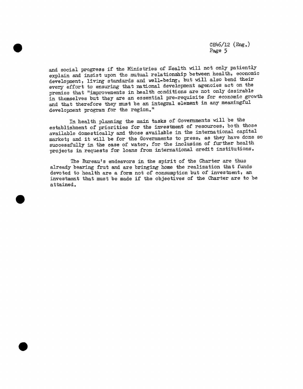CE46/12 (Eng.) Page 5

and social progress if the Ministries of Health will not only patiently development, living standards and well-being, but will also bend their development, living standards and well-being, but will also beneficient the method of  $m$  ii every effort to ensuring that had national development agencies act on the same premise that "improvements in health conditions are not only desirable<br>in themselves but they are an essential pre-requisite for economic growth In the method but the second pre-requisite for  $\frac{1}{2}$  are  $\frac{1}{2}$  and  $\frac{1}{2}$  are meaningful and that therefore they must be an integral element in any measured development program for the region."

In health planning the main tasks of Governments will be the establishment of priorities for the investment of resources, both those available domestically and those available in the international capital market; and it will be for the Governments to press, as they have done so market; and it will be for the Governments to press, as the har has the successfully in the case of water, for the inclusion of  $f$  inclusion  $\frac{1}{2}$ projects in requests for loans from international credit institutions.

The Bureau's endeavors in the spirit of the Charter are thus already bearing frut and are bringing home the realization that funds devoted to health are a form not of consumption but of investment, an devoted to health are a form not of consumpti**o**n but **o**f investment, an investment that must be made if the objectives of the charter are to be attained.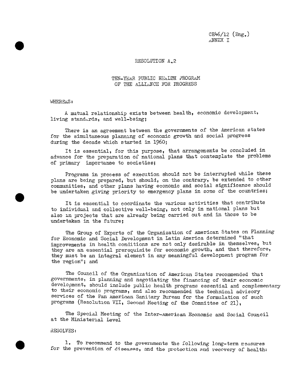CE46/12 (Eng.) \_NNEX I

#### RESOLUTION A.2

# TEN-YEAR PUBLIC HEALTH PROGRAM OF THE ALLIANCE FOR PROGRESS

WHEREAS:

A mutual relationship exists between health, economic development, living standards, and well-being;

There is an agreement between the governments of the American states for the simultaneous planning of economic growth and social progress during the decade which started in 1960;

It is essential, for this purpose, that arrangements be concluded in advance for the preparation of national plans that contemplate the problems of primary importance to societies;

Programs in process of execution should not be interrupted while these plans are being prepared, but should, on the contrary, be extended to other communities, and other plans having economic and social significance should be undertaken giving priority to emergency plans in some of the countries;

It is essential to coordinate the various activities that contribute to individual and collective well-being, not only in national plans but also in projects that are already being carried out and in those to be undertaken in the future;

The Group of Experts of the Organization of American States on Planning for Economic and Social Development in Latin America determined "that improvements in health conditions are not only desirable in themselves, but they are an essential prerequisite for economic growth, and that therefore, they must be an integral element in any meaningful development program for the region"; and

The Council of the Organization of American States recommended that governments, in planning and negotiating the financing of their economic development, should include public health programs essential and complementary to their economic programs, and also recommended the technical advisory services of the Pan American Sanitary Bureau for the formulation of such programs (Resolution VII, Second Meeting of the Committee of 21),

The Special Meeting of the Inter-American Economic and Social Council at the Ministerial Level

#### RESOLVES:

1. To recommend to the governments the following long-term measures for the prevention of diseases, and the protection and recovery of health: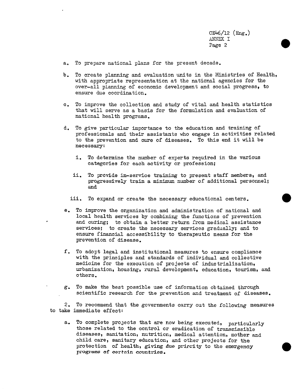CE46/12 (Eng.) ANNEX I Page 2

- a. To prepare national plans for the present decade.
- b. To create planning and evaluation units in the Ministries of Health, with appropriate representation at the national agencies for the over-all pla**n**ning of economic development a**n**d social progress, to ensure due coordination.
- c. To improve the collection and study of vital and health statistics that will serve as a basis for the formulation and evaluation of national health programs.
- d. To give particular importance to the education and training of professionals and their assistants who engage in activities related to the prevention and cure of diseases. To this end it will be necessary:
	- i. To determine the number of experts required in the various categories for each activity or profession;
	- ii. To provide in-service training to present staff members, and progressively train a minimum number of additional personnel; and
	- iii. To expand or create the necessary educational centers.
- e. To improve the organization and administration of national and local health services by combining the functions of prevention and curing; to obtain a better return from medical assistance services; to create the necessary services gradually; and to ensure financial accessibility to therapeutic means for the prevention of disease.
- f. To adopt legal and institutional measures to ensure compliance with the principles and standards of individual and collective medicine for the execution of projects of industrialization, urbanization, housing, rural development, education, tourism, and others.
- g. To make the best possible use of information obtained through scientific research for the prevention and treatment of diseases.

2. To recommend that the governments carry out the following measures to take immediate effect:

a. To complete projects that are now being executed, particularly those related to the control or eradication of transmissible diseases, sanitation, nutrition, medical attention, mother and child care, sanitary education, and other projects for the protection of health, giving due priority to the emergency p\_'og\_'a**ms***o*F certain c**ou**ntri**es**.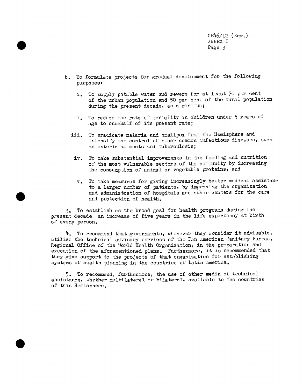CE46**/**12 ANNEX I Page 3

- b. To formulate projects fcr gradual development for the following purpo se s:
	- i. To supply potable water and sewers for at least 70 per cent of the urban population and 50 per cent of the rural population during the present decade, as a minimum;
	- ii. To reduce the rate of mortality in children under 5 years of age to one-half of its present rate;
	- iii. To eradicate malaria and smallpox from the Hemisphere and intensify the control of other common infectious diseases, such as enteric ailments and tuberculosis;
	- iv. To make substantial improvements in the feeding and nutrition of the most vulnerable sectors of the community by increasing the consumption of animal or vegetable proteins, and
	- v. To take measures for giving increasingly better medical assistant to a larger number of patients, by improving the organization and administration of hospitals and other centers for the care and protection of health.

5. To establish as the broad goal for health programs d**u**ring the present decade an increase of five years in the life expectancy at birth of every person.

4. To recommend that governments, whenever they consider it advisable, utilize the technical advisory services of the Pan american Sanitary Bureau, Regional Office of the World Health Organization, in the preparation and execution of the aforementioned plans. Furthermore, it is recommended that they give support to the projects of that organization for establishing systems of health planning in the cou**n**tries of Latin America.

5. To recommend, furthermore, the use of other media of tech**n**ical assistance, whether multilateral or bilateral, available to the countries of this Hemisphere.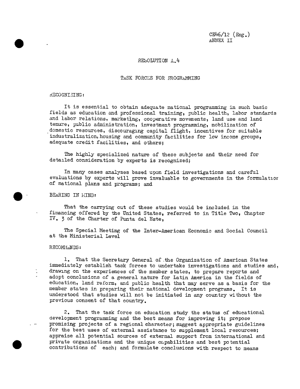CE46/12 (Eng.) \_d\_NEX II

# REb0LUTION A.4

### TASK FORCES FOR PROGRAMMING

#### \_ECO GNI ZING:

It is essential to obtain adequate national programming in such basic fields as education and professional training, public health, labor standards and labor relations, marketing, cooperative movements, land use and land tenure, public administration, investment programming, mobilization of domestic resources, discouraging capital flight, incentives for suitable industralization, housing and community facilities for low income groups, adequate credit facilities, and others;

The highly specialized nature of these subjects and their need for detailed consideration by experts is recognized;

In many cases analyses based upon field investigations and careful evaluations by experts will prove invaluable to governments in the formulatlor of national plans and programs; and

# BEARING IN MIND:

That the carrying out of these studies would be included in the financing offered by the United States, referred to in Title Two, Chapter IV. 3 of the Charter of Pu**n**ta del Este,

The Special Meeting of the Inter-A**m**erica**n** Eco**n**omic a**n**d Social Cou**n**cil at the Ministerial Level

# RECOMIANDS:

1. That the Secretary General of the Organizatio**n** of A**m**erican States i**m**mediately establish task forces to undertake investigations a**n**d studies a**n**d, drawing on the experiences of the member states, to prepare reports and adopt conclusions of a general nature for Latin A**m**erica in the fields of education, land reform, and public health that may serve as a basis for the member states in prepari**n**g their national developme**n**t programs. It is understood that studies will not be i**n**itiated in any country without the previous consent of that country.

2. That the task force on education study the status of educational development programmi**n**g and the best mea**n**s for improvi**n**g it; propose promising projects of a regional character; suggest appropriate guidelines for the best uses of external assistance to supplement local resources; appraise all potential sources of external support from international and private organizations and the unique capabilities and best potential contributions of each; and formulate conclusions with respect to means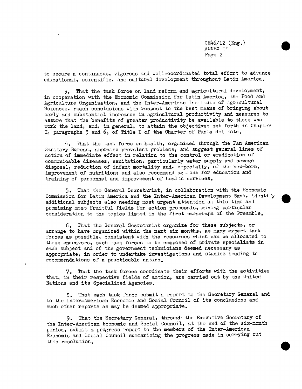CE46**/**12(Eng.) ANNEX II Page 2

to secure a continuous, vigorous and well-coordinated total effort to advance educational, scientific, and cultural development throughout Latin America.

3. That the task force on land reform and agricultural development, in cooperation with the Economic Commission for Latin America, the Food and Agriculture Organization, and the Inter-American Institute of Agricultural Sciences, reach conclusions with respect to the best means of bringing about early and substantial increases in agricultural productivity and measures to assure that the benefits of greater productivity be available to those who work the land, and, in general, to attain the objectives set forth in Chapter I, paragraphs 5 and 6, of Title I of the Charter of Punta del Este.

4. That the task force on health, organized through the Pan American Sanitary Bureau, appraise prevalent problems, and suggest general lines of action of immediate effect in relation to the control or eradication of communicable diseases, sanitation, particularly water supply and sewage disposal, reduction of infant mortality and, especially, of the new-born, improvement of nutrition; and also recommend actions for education and training of personnel and improvement of health services.

5. That the General Secretariat, in collaboration with the Economic Commission for Latin America and the Inter-American Development Bank, identify additional subjects also needing most urgent attention at this time and promising most fruitful fields for action proposals, giving particular consideration to the topics listed in the first paragraph of the Preamble.

6. That the General Secretariat organize for these subjects, or arrange to have organized within the next six months, as many expert task forces as possible, consistent with the resources which can be allocated to these endeavors, such task forces to be composed of private specialists in each subject and of the government technicians deemed necessary as appropriate, in order to undertake investigations and studies leading to recommendations of a practicable nature.

7. That the task forces coordinate their efforts with the activities that, in their respective fields of action, are carried out by the United Nations and its Specialized Agencies.

8. That each task force submit a report to the Secretary General and to the Inter-American Economic and Social Council of its conclusions and such other reports as may be deemed appropriate.

9. That the Secretary General, through the Executive Secretary of the Inter-American Economic and Social Council, at the end of the six-month period, submit a progress report to the members of the Inter-American Economic and Social Council summarizing the progress made in carrying out this resolution.